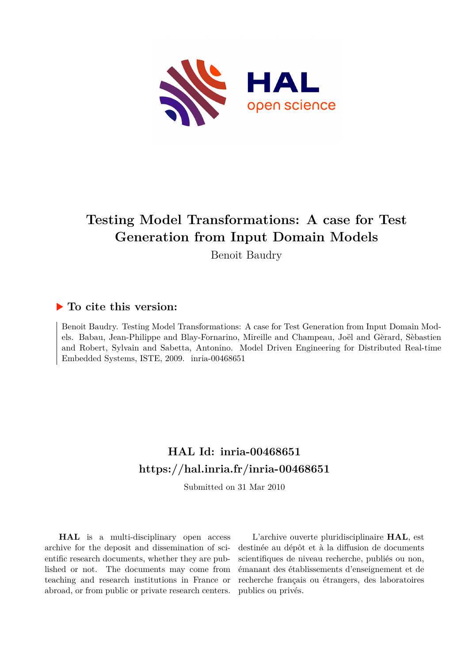

# **Testing Model Transformations: A case for Test Generation from Input Domain Models**

Benoit Baudry

### **To cite this version:**

Benoit Baudry. Testing Model Transformations: A case for Test Generation from Input Domain Models. Babau, Jean-Philippe and Blay-Fornarino, Mireille and Champeau, Joël and Gèrard, Sèbastien and Robert, Sylvain and Sabetta, Antonino. Model Driven Engineering for Distributed Real-time Embedded Systems, ISTE, 2009. inria-00468651

## **HAL Id: inria-00468651 <https://hal.inria.fr/inria-00468651>**

Submitted on 31 Mar 2010

**HAL** is a multi-disciplinary open access archive for the deposit and dissemination of scientific research documents, whether they are published or not. The documents may come from teaching and research institutions in France or abroad, or from public or private research centers.

L'archive ouverte pluridisciplinaire **HAL**, est destinée au dépôt et à la diffusion de documents scientifiques de niveau recherche, publiés ou non, émanant des établissements d'enseignement et de recherche français ou étrangers, des laboratoires publics ou privés.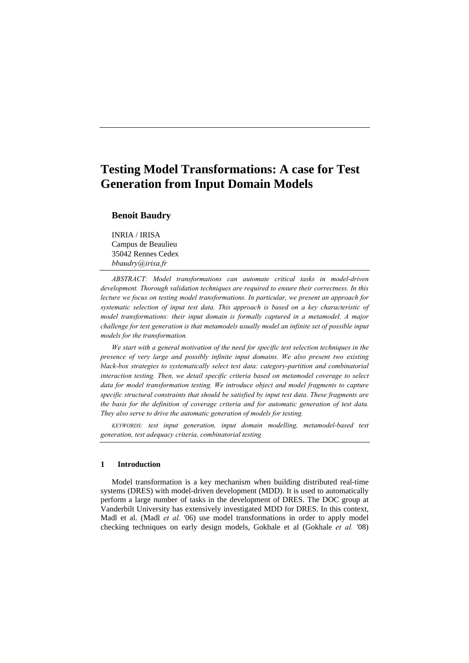### **Testing Model Transformations: A case for Test Generation from Input Domain Models**

#### **Benoit Baudry**

INRIA / IRISA Campus de Beaulieu 35042 Rennes Cedex *bbaudry@irisa.fr* 

*ABSTRACT: Model transformations can automate critical tasks in model-driven development. Thorough validation techniques are required to ensure their correctness. In this lecture we focus on testing model transformations. In particular, we present an approach for systematic selection of input test data. This approach is based on a key characteristic of model transformations: their input domain is formally captured in a metamodel. A major challenge for test generation is that metamodels usually model an infinite set of possible input models for the transformation.* 

*We start with a general motivation of the need for specific test selection techniques in the presence of very large and possibly infinite input domains. We also present two existing black-box strategies to systematically select test data: category-partition and combinatorial interaction testing. Then, we detail specific criteria based on metamodel coverage to select data for model transformation testing. We introduce object and model fragments to capture specific structural constraints that should be satisfied by input test data. These fragments are the basis for the definition of coverage criteria and for automatic generation of test data. They also serve to drive the automatic generation of models for testing.* 

*KEYWORDS: test input generation, input domain modelling, metamodel-based test generation, test adequacy criteria, combinatorial testing* 

#### **1 Introduction**

Model transformation is a key mechanism when building distributed real-time systems (DRES) with model-driven development (MDD). It is used to automatically perform a large number of tasks in the development of DRES. The DOC group at Vanderbilt University has extensively investigated MDD for DRES. In this context, Madl et al. (Madl *et al.* '06) use model transformations in order to apply model checking techniques on early design models, Gokhale et al (Gokhale *et al.* '08)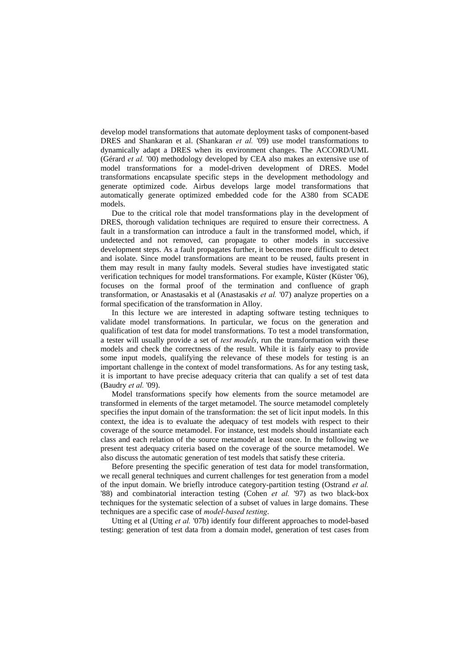develop model transformations that automate deployment tasks of component-based DRES and Shankaran et al. (Shankaran *et al.* '09) use model transformations to dynamically adapt a DRES when its environment changes. The ACCORD/UML (Gérard *et al.* '00) methodology developed by CEA also makes an extensive use of model transformations for a model-driven development of DRES. Model transformations encapsulate specific steps in the development methodology and generate optimized code. Airbus develops large model transformations that automatically generate optimized embedded code for the A380 from SCADE models.

Due to the critical role that model transformations play in the development of DRES, thorough validation techniques are required to ensure their correctness. A fault in a transformation can introduce a fault in the transformed model, which, if undetected and not removed, can propagate to other models in successive development steps. As a fault propagates further, it becomes more difficult to detect and isolate. Since model transformations are meant to be reused, faults present in them may result in many faulty models. Several studies have investigated static verification techniques for model transformations. For example, Küster (Küster '06), focuses on the formal proof of the termination and confluence of graph transformation, or Anastasakis et al (Anastasakis *et al.* '07) analyze properties on a formal specification of the transformation in Alloy.

In this lecture we are interested in adapting software testing techniques to validate model transformations. In particular, we focus on the generation and qualification of test data for model transformations. To test a model transformation, a tester will usually provide a set of *test models*, run the transformation with these models and check the correctness of the result. While it is fairly easy to provide some input models, qualifying the relevance of these models for testing is an important challenge in the context of model transformations. As for any testing task, it is important to have precise adequacy criteria that can qualify a set of test data (Baudry *et al.* '09).

Model transformations specify how elements from the source metamodel are transformed in elements of the target metamodel. The source metamodel completely specifies the input domain of the transformation: the set of licit input models. In this context, the idea is to evaluate the adequacy of test models with respect to their coverage of the source metamodel. For instance, test models should instantiate each class and each relation of the source metamodel at least once. In the following we present test adequacy criteria based on the coverage of the source metamodel. We also discuss the automatic generation of test models that satisfy these criteria.

Before presenting the specific generation of test data for model transformation, we recall general techniques and current challenges for test generation from a model of the input domain. We briefly introduce category-partition testing (Ostrand *et al.* '88) and combinatorial interaction testing (Cohen *et al.* '97) as two black-box techniques for the systematic selection of a subset of values in large domains. These techniques are a specific case of *model-based testing*.

Utting et al (Utting *et al.* '07b) identify four different approaches to model-based testing: generation of test data from a domain model, generation of test cases from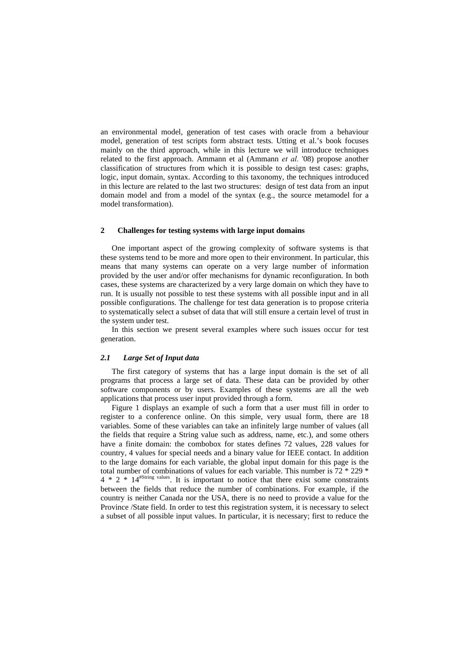an environmental model, generation of test cases with oracle from a behaviour model, generation of test scripts form abstract tests. Utting et al.'s book focuses mainly on the third approach, while in this lecture we will introduce techniques related to the first approach. Ammann et al (Ammann *et al.* '08) propose another classification of structures from which it is possible to design test cases: graphs, logic, input domain, syntax. According to this taxonomy, the techniques introduced in this lecture are related to the last two structures: design of test data from an input domain model and from a model of the syntax (e.g., the source metamodel for a model transformation).

#### **2 Challenges for testing systems with large input domains**

One important aspect of the growing complexity of software systems is that these systems tend to be more and more open to their environment. In particular, this means that many systems can operate on a very large number of information provided by the user and/or offer mechanisms for dynamic reconfiguration. In both cases, these systems are characterized by a very large domain on which they have to run. It is usually not possible to test these systems with all possible input and in all possible configurations. The challenge for test data generation is to propose criteria to systematically select a subset of data that will still ensure a certain level of trust in the system under test.

In this section we present several examples where such issues occur for test generation.

#### *2.1 Large Set of Input data*

The first category of systems that has a large input domain is the set of all programs that process a large set of data. These data can be provided by other software components or by users. Examples of these systems are all the web applications that process user input provided through a form.

Figure 1 displays an example of such a form that a user must fill in order to register to a conference online. On this simple, very usual form, there are 18 variables. Some of these variables can take an infinitely large number of values (all the fields that require a String value such as address, name, etc.), and some others have a finite domain: the combobox for states defines 72 values, 228 values for country, 4 values for special needs and a binary value for IEEE contact. In addition to the large domains for each variable, the global input domain for this page is the total number of combinations of values for each variable. This number is  $72 * 229 *$  $4 * 2 * 14$ <sup>#String values</sup>. It is important to notice that there exist some constraints between the fields that reduce the number of combinations. For example, if the country is neither Canada nor the USA, there is no need to provide a value for the Province /State field. In order to test this registration system, it is necessary to select a subset of all possible input values. In particular, it is necessary; first to reduce the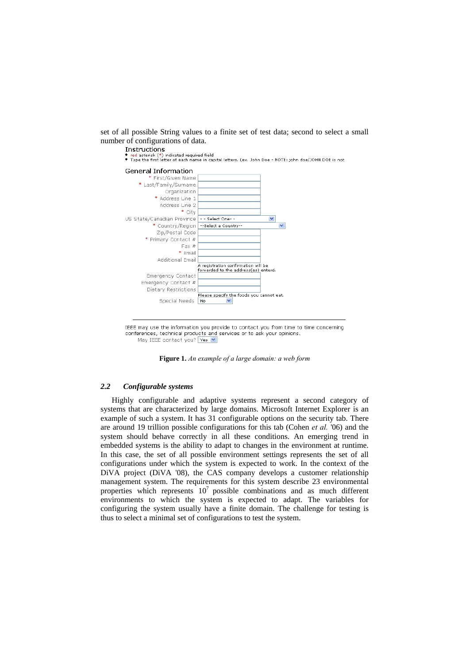

Instructions



IEEE may use the information you provide to contact you from time to time concerning conferences, technical products and services or to ask your opinions. May IEEE contact you? Yes



#### *2.2 Configurable systems*

Highly configurable and adaptive systems represent a second category of systems that are characterized by large domains. Microsoft Internet Explorer is an example of such a system. It has 31 configurable options on the security tab. There are around 19 trillion possible configurations for this tab (Cohen *et al.* '06) and the system should behave correctly in all these conditions. An emerging trend in embedded systems is the ability to adapt to changes in the environment at runtime. In this case, the set of all possible environment settings represents the set of all configurations under which the system is expected to work. In the context of the DiVA project (DiVA '08), the CAS company develops a customer relationship management system. The requirements for this system describe 23 environmental properties which represents  $10^7$  possible combinations and as much different environments to which the system is expected to adapt. The variables for configuring the system usually have a finite domain. The challenge for testing is thus to select a minimal set of configurations to test the system.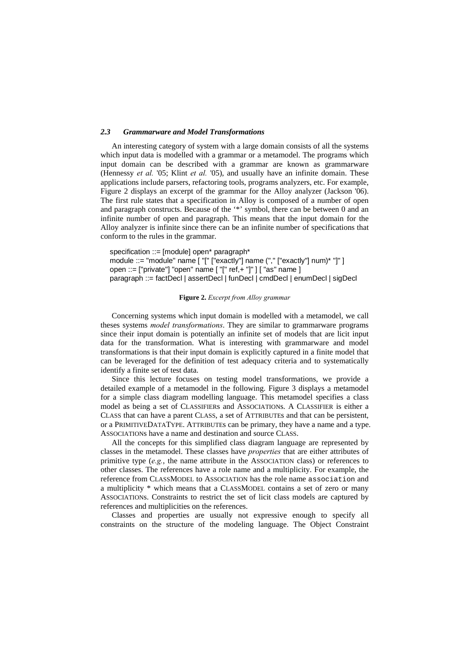#### *2.3 Grammarware and Model Transformations*

An interesting category of system with a large domain consists of all the systems which input data is modelled with a grammar or a metamodel. The programs which input domain can be described with a grammar are known as grammarware (Hennessy *et al.* '05; Klint *et al.* '05), and usually have an infinite domain. These applications include parsers, refactoring tools, programs analyzers, etc. For example, Figure 2 displays an excerpt of the grammar for the Alloy analyzer (Jackson '06). The first rule states that a specification in Alloy is composed of a number of open and paragraph constructs. Because of the '\*' symbol, there can be between 0 and an infinite number of open and paragraph. This means that the input domain for the Alloy analyzer is infinite since there can be an infinite number of specifications that conform to the rules in the grammar.

specification ::= [module] open\* paragraph\* module ::= "module" name [ "[" ["exactly"] name ("," ["exactly"] num)\* "]" ] open ::= ["private"] "open" name [ "[" ref,+ "]" ] [ "as" name ] paragraph ::= factDecl | assertDecl | funDecl | cmdDecl | enumDecl | sigDecl

#### **Figure 2.** *Excerpt from Alloy grammar*

Concerning systems which input domain is modelled with a metamodel, we call theses systems *model transformations*. They are similar to grammarware programs since their input domain is potentially an infinite set of models that are licit input data for the transformation. What is interesting with grammarware and model transformations is that their input domain is explicitly captured in a finite model that can be leveraged for the definition of test adequacy criteria and to systematically identify a finite set of test data.

Since this lecture focuses on testing model transformations, we provide a detailed example of a metamodel in the following. Figure 3 displays a metamodel for a simple class diagram modelling language. This metamodel specifies a class model as being a set of CLASSIFIERs and ASSOCIATIONs. A CLASSIFIER is either a CLASS that can have a parent CLASS, a set of ATTRIBUTEs and that can be persistent, or a PRIMITIVEDATATYPE. ATTRIBUTEs can be primary, they have a name and a type. ASSOCIATIONs have a name and destination and source CLASS.

All the concepts for this simplified class diagram language are represented by classes in the metamodel. These classes have *properties* that are either attributes of primitive type (*e.g.*, the name attribute in the ASSOCIATION class) or references to other classes. The references have a role name and a multiplicity. For example, the reference from CLASSMODEL to ASSOCIATION has the role name association and a multiplicity \* which means that a CLASSMODEL contains a set of zero or many ASSOCIATIONs. Constraints to restrict the set of licit class models are captured by references and multiplicities on the references.

Classes and properties are usually not expressive enough to specify all constraints on the structure of the modeling language. The Object Constraint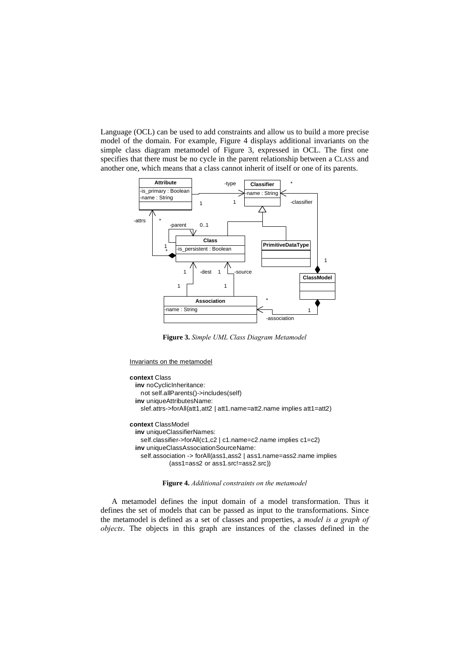Language (OCL) can be used to add constraints and allow us to build a more precise model of the domain. For example, Figure 4 displays additional invariants on the simple class diagram metamodel of Figure 3, expressed in OCL. The first one specifies that there must be no cycle in the parent relationship between a CLASS and another one, which means that a class cannot inherit of itself or one of its parents.



**Figure 3.** *Simple UML Class Diagram Metamodel* 

#### Invariants on the metamodel

```
context Class
 inv noCyclicInheritance:
   not self.allParents()->includes(self)
 inv uniqueAttributesName:
   slef.attrs->forAll(att1,att2 | att1.name=att2.name implies att1=att2)
context ClassModel
 inv uniqueClassifierNames:
   self.classifier->forAll(c1,c2 | c1.name=c2.name implies c1=c2)
 inv uniqueClassAssociationSourceName:
   self.association -> forAll(ass1,ass2 | ass1.name=ass2.name implies
             (ass1=ass2 or ass1.src!=ass2.src))
```
**Figure 4.** *Additional constraints on the metamodel* 

A metamodel defines the input domain of a model transformation. Thus it defines the set of models that can be passed as input to the transformations. Since the metamodel is defined as a set of classes and properties, a *model is a graph of objects*. The objects in this graph are instances of the classes defined in the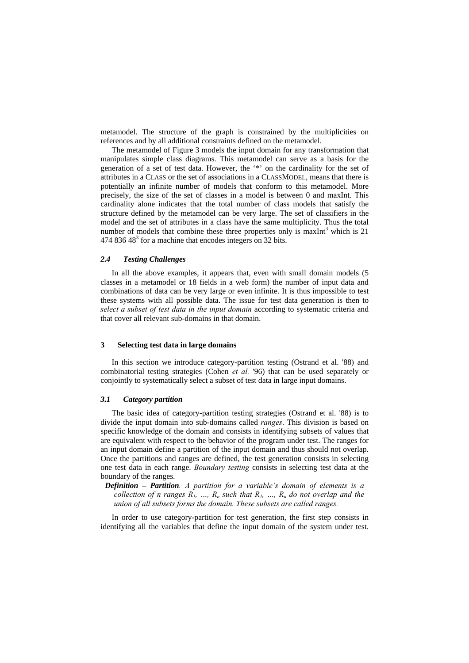metamodel. The structure of the graph is constrained by the multiplicities on references and by all additional constraints defined on the metamodel.

The metamodel of Figure 3 models the input domain for any transformation that manipulates simple class diagrams. This metamodel can serve as a basis for the generation of a set of test data. However, the '\*' on the cardinality for the set of attributes in a CLASS or the set of associations in a CLASSMODEL, means that there is potentially an infinite number of models that conform to this metamodel. More precisely, the size of the set of classes in a model is between 0 and maxInt. This cardinality alone indicates that the total number of class models that satisfy the structure defined by the metamodel can be very large. The set of classifiers in the model and the set of attributes in a class have the same multiplicity. Thus the total number of models that combine these three properties only is maxInt<sup>3</sup> which is 21  $47483648<sup>3</sup>$  for a machine that encodes integers on 32 bits.

#### *2.4 Testing Challenges*

In all the above examples, it appears that, even with small domain models (5 classes in a metamodel or 18 fields in a web form) the number of input data and combinations of data can be very large or even infinite. It is thus impossible to test these systems with all possible data. The issue for test data generation is then to *select a subset of test data in the input domain* according to systematic criteria and that cover all relevant sub-domains in that domain.

#### **3 Selecting test data in large domains**

In this section we introduce category-partition testing (Ostrand et al. '88) and combinatorial testing strategies (Cohen *et al.* '96) that can be used separately or conjointly to systematically select a subset of test data in large input domains.

#### *3.1 Category partition*

The basic idea of category-partition testing strategies (Ostrand et al. '88) is to divide the input domain into sub-domains called *ranges*. This division is based on specific knowledge of the domain and consists in identifying subsets of values that are equivalent with respect to the behavior of the program under test. The ranges for an input domain define a partition of the input domain and thus should not overlap. Once the partitions and ranges are defined, the test generation consists in selecting one test data in each range. *Boundary testing* consists in selecting test data at the boundary of the ranges.

*Definition – Partition. A partition for a variable's domain of elements is a collection of n ranges*  $R_1$ , ...,  $R_n$  such that  $R_1$ , ...,  $R_n$  do not overlap and the *union of all subsets forms the domain. These subsets are called ranges.* 

In order to use category-partition for test generation, the first step consists in identifying all the variables that define the input domain of the system under test.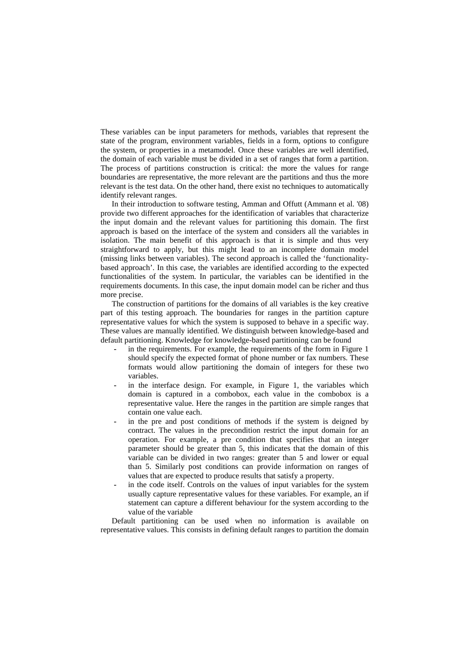These variables can be input parameters for methods, variables that represent the state of the program, environment variables, fields in a form, options to configure the system, or properties in a metamodel. Once these variables are well identified, the domain of each variable must be divided in a set of ranges that form a partition. The process of partitions construction is critical: the more the values for range boundaries are representative, the more relevant are the partitions and thus the more relevant is the test data. On the other hand, there exist no techniques to automatically identify relevant ranges.

In their introduction to software testing, Amman and Offutt (Ammann et al. '08) provide two different approaches for the identification of variables that characterize the input domain and the relevant values for partitioning this domain. The first approach is based on the interface of the system and considers all the variables in isolation. The main benefit of this approach is that it is simple and thus very straightforward to apply, but this might lead to an incomplete domain model (missing links between variables). The second approach is called the 'functionalitybased approach'. In this case, the variables are identified according to the expected functionalities of the system. In particular, the variables can be identified in the requirements documents. In this case, the input domain model can be richer and thus more precise.

The construction of partitions for the domains of all variables is the key creative part of this testing approach. The boundaries for ranges in the partition capture representative values for which the system is supposed to behave in a specific way. These values are manually identified. We distinguish between knowledge-based and default partitioning. Knowledge for knowledge-based partitioning can be found

- **-** in the requirements. For example, the requirements of the form in Figure 1 should specify the expected format of phone number or fax numbers. These formats would allow partitioning the domain of integers for these two variables.
- **-** in the interface design. For example, in Figure 1, the variables which domain is captured in a combobox, each value in the combobox is a representative value. Here the ranges in the partition are simple ranges that contain one value each.
- **-** in the pre and post conditions of methods if the system is deigned by contract. The values in the precondition restrict the input domain for an operation. For example, a pre condition that specifies that an integer parameter should be greater than 5, this indicates that the domain of this variable can be divided in two ranges: greater than 5 and lower or equal than 5. Similarly post conditions can provide information on ranges of values that are expected to produce results that satisfy a property.
- **-** in the code itself. Controls on the values of input variables for the system usually capture representative values for these variables. For example, an if statement can capture a different behaviour for the system according to the value of the variable

Default partitioning can be used when no information is available on representative values. This consists in defining default ranges to partition the domain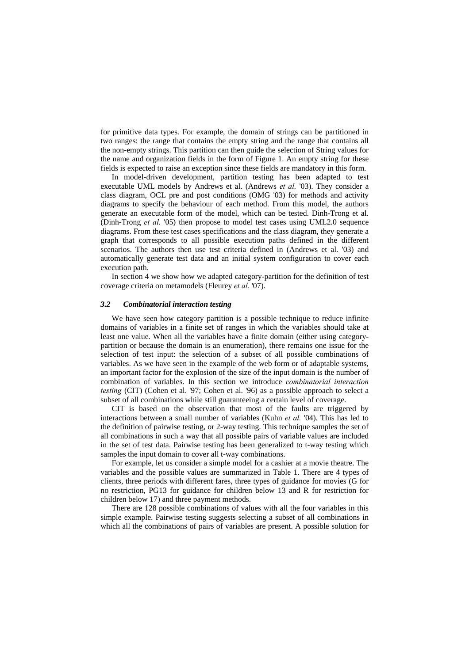for primitive data types. For example, the domain of strings can be partitioned in two ranges: the range that contains the empty string and the range that contains all the non-empty strings. This partition can then guide the selection of String values for the name and organization fields in the form of Figure 1. An empty string for these fields is expected to raise an exception since these fields are mandatory in this form.

In model-driven development, partition testing has been adapted to test executable UML models by Andrews et al. (Andrews *et al.* '03). They consider a class diagram, OCL pre and post conditions (OMG '03) for methods and activity diagrams to specify the behaviour of each method. From this model, the authors generate an executable form of the model, which can be tested. Dinh-Trong et al. (Dinh-Trong *et al.* '05) then propose to model test cases using UML2.0 sequence diagrams. From these test cases specifications and the class diagram, they generate a graph that corresponds to all possible execution paths defined in the different scenarios. The authors then use test criteria defined in (Andrews et al. '03) and automatically generate test data and an initial system configuration to cover each execution path.

In section 4 we show how we adapted category-partition for the definition of test coverage criteria on metamodels (Fleurey *et al.* '07).

#### *3.2 Combinatorial interaction testing*

We have seen how category partition is a possible technique to reduce infinite domains of variables in a finite set of ranges in which the variables should take at least one value. When all the variables have a finite domain (either using categorypartition or because the domain is an enumeration), there remains one issue for the selection of test input: the selection of a subset of all possible combinations of variables. As we have seen in the example of the web form or of adaptable systems, an important factor for the explosion of the size of the input domain is the number of combination of variables. In this section we introduce *combinatorial interaction testing* (CIT) (Cohen et al. '97; Cohen et al. '96) as a possible approach to select a subset of all combinations while still guaranteeing a certain level of coverage.

CIT is based on the observation that most of the faults are triggered by interactions between a small number of variables (Kuhn *et al.* '04). This has led to the definition of pairwise testing, or 2-way testing. This technique samples the set of all combinations in such a way that all possible pairs of variable values are included in the set of test data. Pairwise testing has been generalized to t-way testing which samples the input domain to cover all t-way combinations.

For example, let us consider a simple model for a cashier at a movie theatre. The variables and the possible values are summarized in Table 1. There are 4 types of clients, three periods with different fares, three types of guidance for movies (G for no restriction, PG13 for guidance for children below 13 and R for restriction for children below 17) and three payment methods.

There are 128 possible combinations of values with all the four variables in this simple example. Pairwise testing suggests selecting a subset of all combinations in which all the combinations of pairs of variables are present. A possible solution for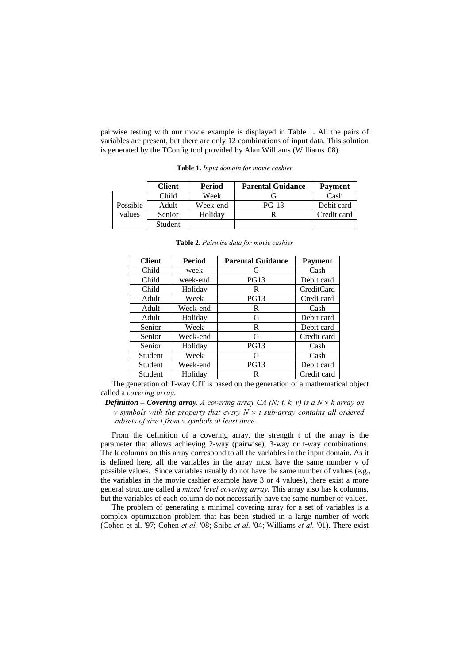pairwise testing with our movie example is displayed in Table 1. All the pairs of variables are present, but there are only 12 combinations of input data. This solution is generated by the TConfig tool provided by Alan Williams (Williams '08).

|          | <b>Client</b> | Period   | <b>Parental Guidance</b> | <b>Payment</b> |
|----------|---------------|----------|--------------------------|----------------|
|          | Child         | Week     |                          | Cash           |
| Possible | Adult         | Week-end | $PG-13$                  | Debit card     |
| values   | Senior        | Holiday  |                          | Credit card    |
|          | Student       |          |                          |                |

**Table 1.** *Input domain for movie cashier* 

| <b>Client</b> | <b>Period</b> | <b>Parental Guidance</b> | <b>Payment</b> |
|---------------|---------------|--------------------------|----------------|
| Child         | week          | (ì                       | Cash           |
| Child         | week-end      | <b>PG13</b>              | Debit card     |
| Child         | Holiday       | R                        | CreditCard     |
| Adult         | Week          | PG13                     | Credi card     |
| Adult         | Week-end      | R                        | Cash           |
| Adult         | Holiday       | G                        | Debit card     |
| Senior        | Week          | R                        | Debit card     |
| Senior        | Week-end      | G                        | Credit card    |
| Senior        | Holiday       | <b>PG13</b>              | Cash           |
| Student       | Week          | G                        | Cash           |
| Student       | Week-end      | <b>PG13</b>              | Debit card     |
| Student       | Holiday       | R                        | Credit card    |

**Table 2.** *Pairwise data for movie cashier* 

The generation of T-way CIT is based on the generation of a mathematical object called a *covering array*.

*Definition – Covering array. A covering array CA (N; t, k, v) is a*  $N \times k$  *array on v symbols with the property that every N* × *t sub-array contains all ordered subsets of size t from v symbols at least once.* 

From the definition of a covering array, the strength t of the array is the parameter that allows achieving 2-way (pairwise), 3-way or t-way combinations. The k columns on this array correspond to all the variables in the input domain. As it is defined here, all the variables in the array must have the same number v of possible values. Since variables usually do not have the same number of values (e.g., the variables in the movie cashier example have 3 or 4 values), there exist a more general structure called a *mixed level covering array*. This array also has k columns, but the variables of each column do not necessarily have the same number of values.

The problem of generating a minimal covering array for a set of variables is a complex optimization problem that has been studied in a large number of work (Cohen et al. '97; Cohen *et al.* '08; Shiba *et al.* '04; Williams *et al.* '01). There exist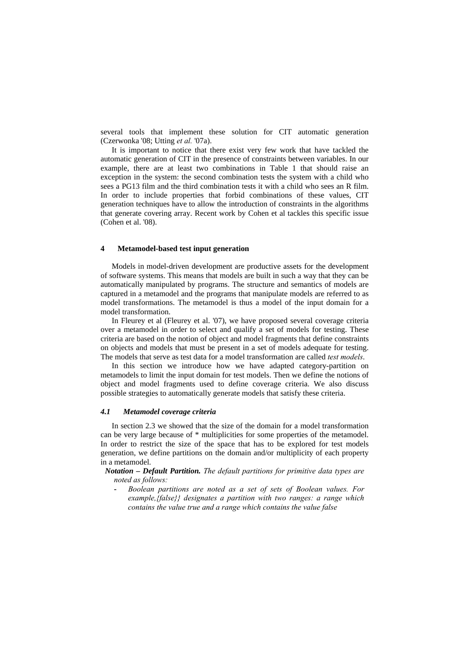several tools that implement these solution for CIT automatic generation (Czerwonka '08; Utting *et al.* '07a).

It is important to notice that there exist very few work that have tackled the automatic generation of CIT in the presence of constraints between variables. In our example, there are at least two combinations in Table 1 that should raise an exception in the system: the second combination tests the system with a child who sees a PG13 film and the third combination tests it with a child who sees an R film. In order to include properties that forbid combinations of these values, CIT generation techniques have to allow the introduction of constraints in the algorithms that generate covering array. Recent work by Cohen et al tackles this specific issue (Cohen et al. '08).

#### **4 Metamodel-based test input generation**

Models in model-driven development are productive assets for the development of software systems. This means that models are built in such a way that they can be automatically manipulated by programs. The structure and semantics of models are captured in a metamodel and the programs that manipulate models are referred to as model transformations. The metamodel is thus a model of the input domain for a model transformation.

In Fleurey et al (Fleurey et al. '07), we have proposed several coverage criteria over a metamodel in order to select and qualify a set of models for testing. These criteria are based on the notion of object and model fragments that define constraints on objects and models that must be present in a set of models adequate for testing. The models that serve as test data for a model transformation are called *test models*.

In this section we introduce how we have adapted category-partition on metamodels to limit the input domain for test models. Then we define the notions of object and model fragments used to define coverage criteria. We also discuss possible strategies to automatically generate models that satisfy these criteria.

#### *4.1 Metamodel coverage criteria*

In section 2.3 we showed that the size of the domain for a model transformation can be very large because of \* multiplicities for some properties of the metamodel. In order to restrict the size of the space that has to be explored for test models generation, we define partitions on the domain and/or multiplicity of each property in a metamodel.

*Notation – Default Partition. The default partitions for primitive data types are noted as follows:* 

**-** *Boolean partitions are noted as a set of sets of Boolean values. For example,{false}} designates a partition with two ranges: a range which contains the value true and a range which contains the value false*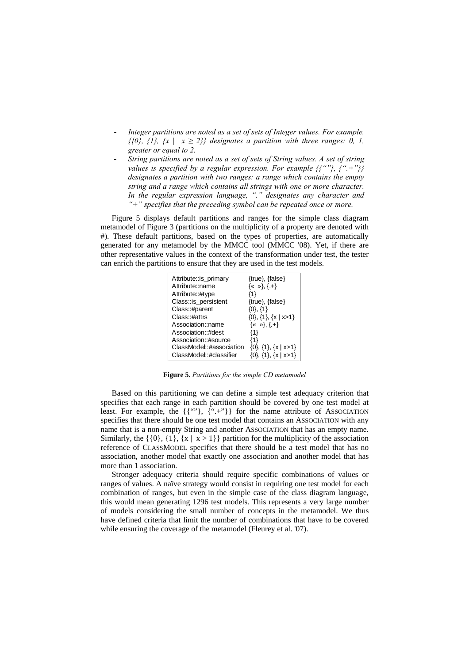- **-** *Integer partitions are noted as a set of sets of Integer values. For example,*   $\{\{0\},\{1\},\{x \mid x \geq 2\}\}\$  designates a partition with three ranges: 0, 1, *greater or equal to 2.*
- **-** *String partitions are noted as a set of sets of String values. A set of string values is specified by a regular expression. For example*  $\{f^{(n)}\}$ *,*  $\{f^{(n+1)}\}$ *designates a partition with two ranges: a range which contains the empty string and a range which contains all strings with one or more character. In the regular expression language, "." designates any character and "+" specifies that the preceding symbol can be repeated once or more.*

Figure 5 displays default partitions and ranges for the simple class diagram metamodel of Figure 3 (partitions on the multiplicity of a property are denoted with #). These default partitions, based on the types of properties, are automatically generated for any metamodel by the MMCC tool (MMCC '08). Yet, if there are other representative values in the context of the transformation under test, the tester can enrich the partitions to ensure that they are used in the test models.

| Attribute:: is_primary   | {true}, {false}                            |
|--------------------------|--------------------------------------------|
| Attribute::name          | $\{\kappa \in \mathcal{P}\}, \{\ldots +\}$ |
| Attribute::#type         | {1}                                        |
| Class:: is persistent    | {true}, {false}                            |
| Class::#parent           | $\{0\}, \{1\}$                             |
| Class::#attrs            | $\{0\}, \{1\}, \{x \mid x > 1\}$           |
| Association::name        | $\{ \kappa \in \mathbb{N} \}$ , $\{ + \}$  |
| Association::#dest       | {1}                                        |
| Association::#source     | {1}                                        |
| ClassModel::#association | $\{0\}, \{1\}, \{x \mid x > 1\}$           |
| ClassModel::#classifier  | $\{0\}, \{1\}, \{x \mid x > 1\}$           |

**Figure 5.** *Partitions for the simple CD metamodel* 

Based on this partitioning we can define a simple test adequacy criterion that specifies that each range in each partition should be covered by one test model at least. For example, the  $\{\{\cdots\}, \{\cdots, \cdots\}\}$  for the name attribute of ASSOCIATION specifies that there should be one test model that contains an ASSOCIATION with any name that is a non-empty String and another ASSOCIATION that has an empty name. Similarly, the  $\{\{0\}, \{1\}, \{x \mid x > 1\}\}\$  partition for the multiplicity of the association reference of CLASSMODEL specifies that there should be a test model that has no association, another model that exactly one association and another model that has more than 1 association.

Stronger adequacy criteria should require specific combinations of values or ranges of values. A naïve strategy would consist in requiring one test model for each combination of ranges, but even in the simple case of the class diagram language, this would mean generating 1296 test models. This represents a very large number of models considering the small number of concepts in the metamodel. We thus have defined criteria that limit the number of combinations that have to be covered while ensuring the coverage of the metamodel (Fleurey et al. '07).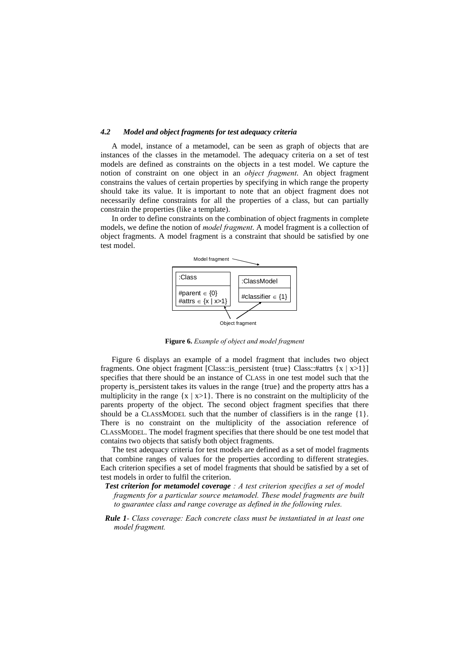#### *4.2 Model and object fragments for test adequacy criteria*

A model, instance of a metamodel, can be seen as graph of objects that are instances of the classes in the metamodel. The adequacy criteria on a set of test models are defined as constraints on the objects in a test model. We capture the notion of constraint on one object in an *object fragment*. An object fragment constrains the values of certain properties by specifying in which range the property should take its value. It is important to note that an object fragment does not necessarily define constraints for all the properties of a class, but can partially constrain the properties (like a template).

In order to define constraints on the combination of object fragments in complete models, we define the notion of *model fragment*. A model fragment is a collection of object fragments. A model fragment is a constraint that should be satisfied by one test model.



**Figure 6.** *Example of object and model fragment* 

Figure 6 displays an example of a model fragment that includes two object fragments. One object fragment [Class::is\_persistent {true} Class::#attrs  $\{x | x >1\}$ ] specifies that there should be an instance of CLASS in one test model such that the property is\_persistent takes its values in the range {true} and the property attrs has a multiplicity in the range  $\{x \mid x > 1\}$ . There is no constraint on the multiplicity of the parents property of the object. The second object fragment specifies that there should be a CLASSMODEL such that the number of classifiers is in the range {1}. There is no constraint on the multiplicity of the association reference of CLASSMODEL. The model fragment specifies that there should be one test model that contains two objects that satisfy both object fragments.

The test adequacy criteria for test models are defined as a set of model fragments that combine ranges of values for the properties according to different strategies. Each criterion specifies a set of model fragments that should be satisfied by a set of test models in order to fulfil the criterion.

*Test criterion for metamodel coverage : A test criterion specifies a set of model fragments for a particular source metamodel. These model fragments are built to guarantee class and range coverage as defined in the following rules.* 

*Rule 1- Class coverage: Each concrete class must be instantiated in at least one model fragment.*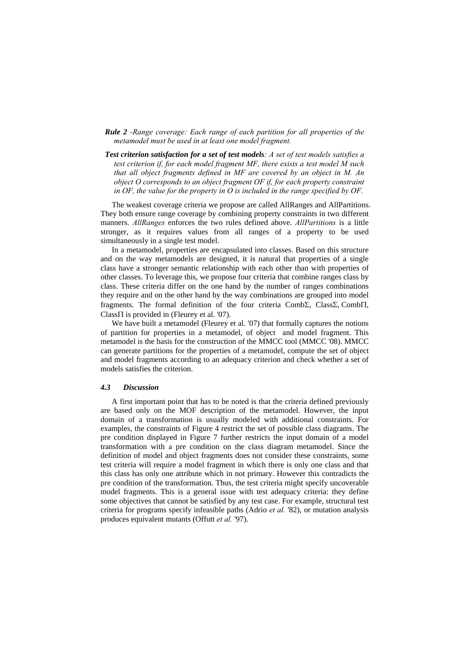#### *Rule 2 -Range coverage: Each range of each partition for all properties of the metamodel must be used in at least one model fragment.*

*Test criterion satisfaction for a set of test models: A set of test models satisfies a test criterion if, for each model fragment MF, there exists a test model M such that all object fragments defined in MF are covered by an object in M. An object O corresponds to an object fragment OF if, for each property constraint in OF, the value for the property in O is included in the range specified by OF.* 

The weakest coverage criteria we propose are called AllRanges and AllPartitions. They both ensure range coverage by combining property constraints in two different manners. *AllRanges* enforces the two rules defined above. *AllPartitions* is a little stronger, as it requires values from all ranges of a property to be used simultaneously in a single test model.

In a metamodel, properties are encapsulated into classes. Based on this structure and on the way metamodels are designed, it is natural that properties of a single class have a stronger semantic relationship with each other than with properties of other classes. To leverage this, we propose four criteria that combine ranges class by class. These criteria differ on the one hand by the number of ranges combinations they require and on the other hand by the way combinations are grouped into model fragments. The formal definition of the four criteria CombΣ, ClassΣ, CombΠ, ClassΠ is provided in (Fleurey et al. '07).

We have built a metamodel (Fleurey et al. '07) that formally captures the notions of partition for properties in a metamodel, of object and model fragment. This metamodel is the basis for the construction of the MMCC tool (MMCC '08). MMCC can generate partitions for the properties of a metamodel, compute the set of object and model fragments according to an adequacy criterion and check whether a set of models satisfies the criterion.

#### *4.3 Discussion*

A first important point that has to be noted is that the criteria defined previously are based only on the MOF description of the metamodel. However, the input domain of a transformation is usually modeled with additional constraints. For examples, the constraints of Figure 4 restrict the set of possible class diagrams. The pre condition displayed in Figure 7 further restricts the input domain of a model transformation with a pre condition on the class diagram metamodel. Since the definition of model and object fragments does not consider these constraints, some test criteria will require a model fragment in which there is only one class and that this class has only one attribute which in not primary. However this contradicts the pre condition of the transformation. Thus, the test criteria might specify uncoverable model fragments. This is a general issue with test adequacy criteria: they define some objectives that cannot be satisfied by any test case. For example, structural test criteria for programs specify infeasible paths (Adrio *et al.* '82), or mutation analysis produces equivalent mutants (Offutt *et al.* '97).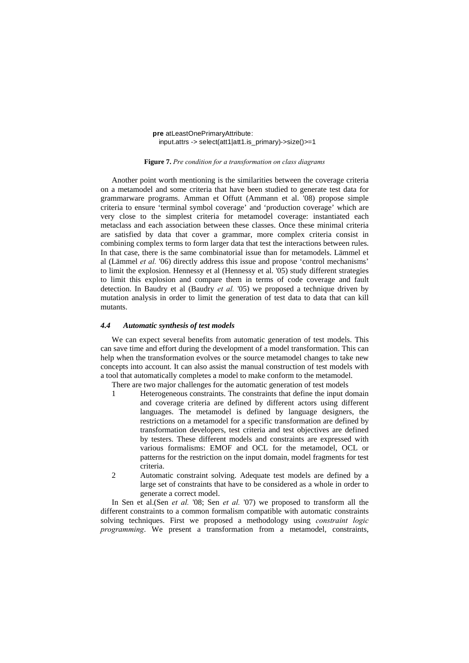**pre** atLeastOnePrimaryAttribute: input.attrs -> select(att1|att1.is\_primary)->size()>=1

**Figure 7.** *Pre condition for a transformation on class diagrams* 

Another point worth mentioning is the similarities between the coverage criteria on a metamodel and some criteria that have been studied to generate test data for grammarware programs. Amman et Offutt (Ammann et al. '08) propose simple criteria to ensure 'terminal symbol coverage' and 'production coverage' which are very close to the simplest criteria for metamodel coverage: instantiated each metaclass and each association between these classes. Once these minimal criteria are satisfied by data that cover a grammar, more complex criteria consist in combining complex terms to form larger data that test the interactions between rules. In that case, there is the same combinatorial issue than for metamodels. Lämmel et al (Lämmel *et al.* '06) directly address this issue and propose 'control mechanisms' to limit the explosion. Hennessy et al (Hennessy et al. '05) study different strategies to limit this explosion and compare them in terms of code coverage and fault detection. In Baudry et al (Baudry *et al.* '05) we proposed a technique driven by mutation analysis in order to limit the generation of test data to data that can kill mutants.

#### *4.4 Automatic synthesis of test models*

We can expect several benefits from automatic generation of test models. This can save time and effort during the development of a model transformation. This can help when the transformation evolves or the source metamodel changes to take new concepts into account. It can also assist the manual construction of test models with a tool that automatically completes a model to make conform to the metamodel.

- There are two major challenges for the automatic generation of test models
- 1 Heterogeneous constraints. The constraints that define the input domain and coverage criteria are defined by different actors using different languages. The metamodel is defined by language designers, the restrictions on a metamodel for a specific transformation are defined by transformation developers, test criteria and test objectives are defined by testers. These different models and constraints are expressed with various formalisms: EMOF and OCL for the metamodel, OCL or patterns for the restriction on the input domain, model fragments for test criteria.
- 2 Automatic constraint solving. Adequate test models are defined by a large set of constraints that have to be considered as a whole in order to generate a correct model.

In Sen et al.(Sen *et al.* '08; Sen *et al.* '07) we proposed to transform all the different constraints to a common formalism compatible with automatic constraints solving techniques. First we proposed a methodology using *constraint logic programming*. We present a transformation from a metamodel, constraints,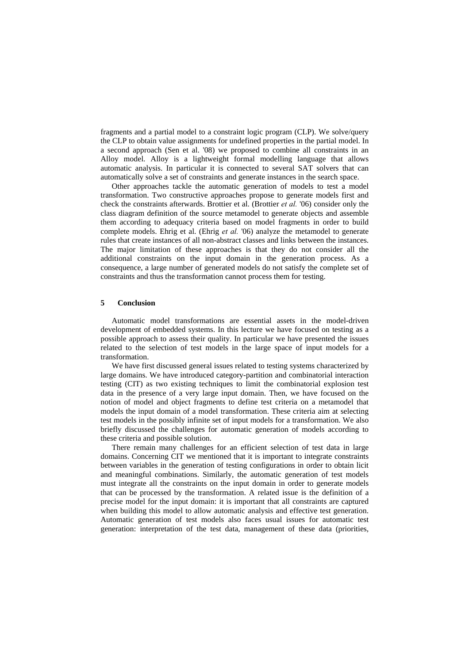fragments and a partial model to a constraint logic program (CLP). We solve/query the CLP to obtain value assignments for undefined properties in the partial model. In a second approach (Sen et al. '08) we proposed to combine all constraints in an Alloy model. Alloy is a lightweight formal modelling language that allows automatic analysis. In particular it is connected to several SAT solvers that can automatically solve a set of constraints and generate instances in the search space.

Other approaches tackle the automatic generation of models to test a model transformation. Two constructive approaches propose to generate models first and check the constraints afterwards. Brottier et al. (Brottier *et al.* '06) consider only the class diagram definition of the source metamodel to generate objects and assemble them according to adequacy criteria based on model fragments in order to build complete models. Ehrig et al. (Ehrig *et al.* '06) analyze the metamodel to generate rules that create instances of all non-abstract classes and links between the instances. The major limitation of these approaches is that they do not consider all the additional constraints on the input domain in the generation process. As a consequence, a large number of generated models do not satisfy the complete set of constraints and thus the transformation cannot process them for testing.

#### **5 Conclusion**

Automatic model transformations are essential assets in the model-driven development of embedded systems. In this lecture we have focused on testing as a possible approach to assess their quality. In particular we have presented the issues related to the selection of test models in the large space of input models for a transformation.

We have first discussed general issues related to testing systems characterized by large domains. We have introduced category-partition and combinatorial interaction testing (CIT) as two existing techniques to limit the combinatorial explosion test data in the presence of a very large input domain. Then, we have focused on the notion of model and object fragments to define test criteria on a metamodel that models the input domain of a model transformation. These criteria aim at selecting test models in the possibly infinite set of input models for a transformation. We also briefly discussed the challenges for automatic generation of models according to these criteria and possible solution.

There remain many challenges for an efficient selection of test data in large domains. Concerning CIT we mentioned that it is important to integrate constraints between variables in the generation of testing configurations in order to obtain licit and meaningful combinations. Similarly, the automatic generation of test models must integrate all the constraints on the input domain in order to generate models that can be processed by the transformation. A related issue is the definition of a precise model for the input domain: it is important that all constraints are captured when building this model to allow automatic analysis and effective test generation. Automatic generation of test models also faces usual issues for automatic test generation: interpretation of the test data, management of these data (priorities,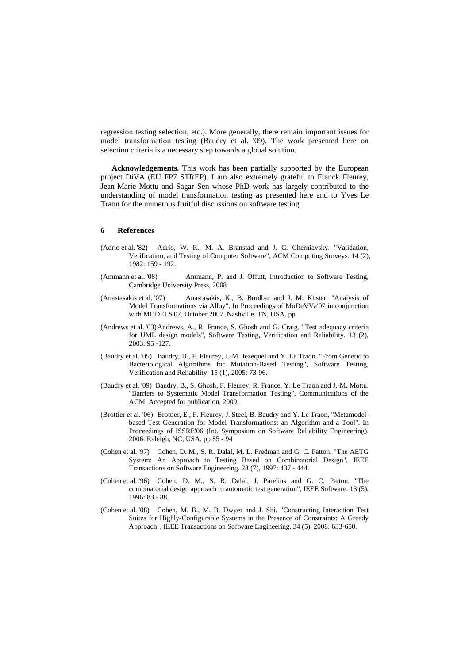regression testing selection, etc.). More generally, there remain important issues for model transformation testing (Baudry et al. '09). The work presented here on selection criteria is a necessary step towards a global solution.

**Acknowledgements.** This work has been partially supported by the European project DiVA (EU FP7 STREP). I am also extremely grateful to Franck Fleurey, Jean-Marie Mottu and Sagar Sen whose PhD work has largely contributed to the understanding of model transformation testing as presented here and to Yves Le Traon for the numerous fruitful discussions on software testing.

#### **6 References**

- (Adrio et al. '82) Adrio, W. R., M. A. Branstad and J. C. Cherniavsky. "Validation, Verification, and Testing of Computer Software", ACM Computing Surveys. 14 (2), 1982: 159 - 192.
- (Ammann et al. '08) Ammann, P. and J. Offutt, Introduction to Software Testing, Cambridge University Press, 2008
- (Anastasakis et al. '07) Anastasakis, K., B. Bordbar and J. M. Küster, "Analysis of Model Transformations via Alloy". In Proceedings of MoDeVVa'07 in conjunction with MODELS'07. October 2007. Nashville, TN, USA. pp
- (Andrews et al. '03) Andrews, A., R. France, S. Ghosh and G. Craig. "Test adequacy criteria for UML design models", Software Testing, Verification and Reliability. 13 (2), 2003: 95 -127.
- (Baudry et al. '05) Baudry, B., F. Fleurey, J.-M. Jézéquel and Y. Le Traon. "From Genetic to Bacteriological Algorithms for Mutation-Based Testing", Software Testing, Verification and Reliability. 15 (1), 2005: 73-96.
- (Baudry et al. '09) Baudry, B., S. Ghosh, F. Fleurey, R. France, Y. Le Traon and J.-M. Mottu. "Barriers to Systematic Model Transformation Testing", Communications of the ACM. Accepted for publication, 2009.
- (Brottier et al. '06) Brottier, E., F. Fleurey, J. Steel, B. Baudry and Y. Le Traon, "Metamodelbased Test Generation for Model Transformations: an Algorithm and a Tool". In Proceedings of ISSRE'06 (Int. Symposium on Software Reliability Engineering). 2006. Raleigh, NC, USA. pp 85 - 94
- (Cohen et al. '97) Cohen, D. M., S. R. Dalal, M. L. Fredman and G. C. Patton. "The AETG System: An Approach to Testing Based on Combinatorial Design", IEEE Transactions on Software Engineering. 23 (7), 1997: 437 - 444.
- (Cohen et al. '96) Cohen, D. M., S. R. Dalal, J. Parelius and G. C. Patton. "The combinatorial design approach to automatic test generation", IEEE Software. 13 (5), 1996: 83 - 88.
- (Cohen et al. '08) Cohen, M. B., M. B. Dwyer and J. Shi. "Constructing Interaction Test Suites for Highly-Configurable Systems in the Presence of Constraints: A Greedy Approach", IEEE Transactions on Software Engineering. 34 (5), 2008: 633-650.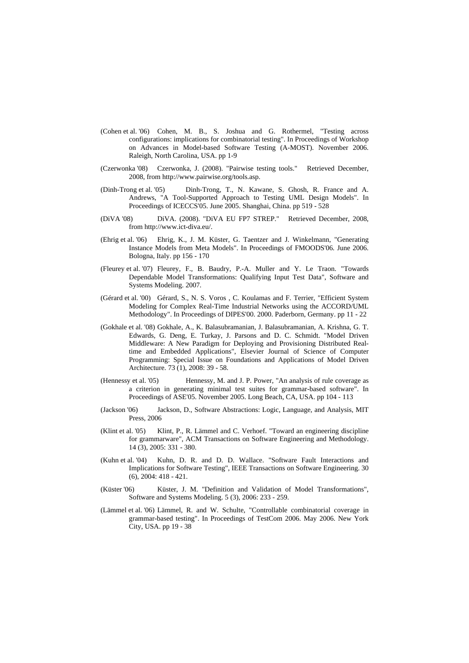- (Cohen et al. '06) Cohen, M. B., S. Joshua and G. Rothermel, "Testing across configurations: implications for combinatorial testing". In Proceedings of Workshop on Advances in Model-based Software Testing (A-MOST). November 2006. Raleigh, North Carolina, USA. pp 1-9
- (Czerwonka '08) Czerwonka, J. (2008). "Pairwise testing tools." Retrieved December, 2008, from http://www.pairwise.org/tools.asp.
- (Dinh-Trong et al. '05) Dinh-Trong, T., N. Kawane, S. Ghosh, R. France and A. Andrews, "A Tool-Supported Approach to Testing UML Design Models". In Proceedings of ICECCS'05. June 2005. Shanghai, China. pp 519 - 528
- (DiVA '08) DiVA. (2008). "DiVA EU FP7 STREP." Retrieved December, 2008, from http://www.ict-diva.eu/.
- (Ehrig et al. '06) Ehrig, K., J. M. Küster, G. Taentzer and J. Winkelmann, "Generating Instance Models from Meta Models". In Proceedings of FMOODS'06. June 2006. Bologna, Italy. pp 156 - 170
- (Fleurey et al. '07) Fleurey, F., B. Baudry, P.-A. Muller and Y. Le Traon. "Towards Dependable Model Transformations: Qualifying Input Test Data", Software and Systems Modeling. 2007.
- (Gérard et al. '00) Gérard, S., N. S. Voros , C. Koulamas and F. Terrier, "Efficient System Modeling for Complex Real-Time Industrial Networks using the ACCORD/UML Methodology". In Proceedings of DIPES'00. 2000. Paderborn, Germany. pp 11 - 22
- (Gokhale et al. '08) Gokhale, A., K. Balasubramanian, J. Balasubramanian, A. Krishna, G. T. Edwards, G. Deng, E. Turkay, J. Parsons and D. C. Schmidt. "Model Driven Middleware: A New Paradigm for Deploying and Provisioning Distributed Realtime and Embedded Applications", Elsevier Journal of Science of Computer Programming: Special Issue on Foundations and Applications of Model Driven Architecture. 73 (1), 2008: 39 - 58.
- (Hennessy et al. '05) Hennessy, M. and J. P. Power, "An analysis of rule coverage as a criterion in generating minimal test suites for grammar-based software". In Proceedings of ASE'05. November 2005. Long Beach, CA, USA. pp 104 - 113
- (Jackson '06) Jackson, D., Software Abstractions: Logic, Language, and Analysis, MIT Press, 2006
- (Klint et al. '05) Klint, P., R. Lämmel and C. Verhoef. "Toward an engineering discipline for grammarware", ACM Transactions on Software Engineering and Methodology. 14 (3), 2005: 331 - 380.
- (Kuhn et al. '04) Kuhn, D. R. and D. D. Wallace. "Software Fault Interactions and Implications for Software Testing", IEEE Transactions on Software Engineering. 30 (6), 2004: 418 - 421.
- (Küster '06) Küster, J. M. "Definition and Validation of Model Transformations", Software and Systems Modeling. 5 (3), 2006: 233 - 259.
- (Lämmel et al. '06) Lämmel, R. and W. Schulte, "Controllable combinatorial coverage in grammar-based testing". In Proceedings of TestCom 2006. May 2006. New York City, USA. pp 19 - 38